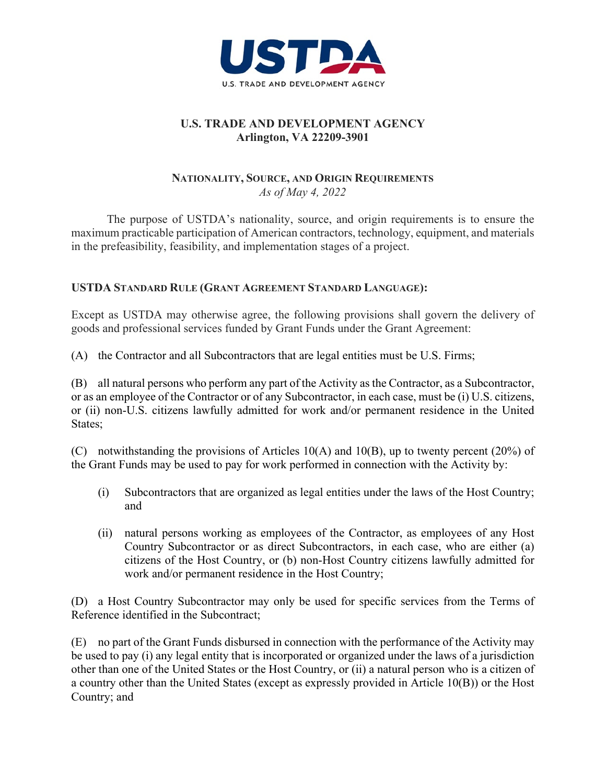

#### **U.S. TRADE AND DEVELOPMENT AGENCY Arlington, VA 22209-3901**

#### **NATIONALITY, SOURCE, AND ORIGIN REQUIREMENTS** *As of May 4, 2022*

The purpose of USTDA's nationality, source, and origin requirements is to ensure the maximum practicable participation of American contractors, technology, equipment, and materials in the prefeasibility, feasibility, and implementation stages of a project.

## **USTDA STANDARD RULE (GRANT AGREEMENT STANDARD LANGUAGE):**

Except as USTDA may otherwise agree, the following provisions shall govern the delivery of goods and professional services funded by Grant Funds under the Grant Agreement:

(A) the Contractor and all Subcontractors that are legal entities must be U.S. Firms;

(B) all natural persons who perform any part of the Activity as the Contractor, as a Subcontractor, or as an employee of the Contractor or of any Subcontractor, in each case, must be (i) U.S. citizens, or (ii) non-U.S. citizens lawfully admitted for work and/or permanent residence in the United States;

(C) notwithstanding the provisions of Articles 10(A) and 10(B), up to twenty percent (20%) of the Grant Funds may be used to pay for work performed in connection with the Activity by:

- (i) Subcontractors that are organized as legal entities under the laws of the Host Country; and
- (ii) natural persons working as employees of the Contractor, as employees of any Host Country Subcontractor or as direct Subcontractors, in each case, who are either (a) citizens of the Host Country, or (b) non-Host Country citizens lawfully admitted for work and/or permanent residence in the Host Country;

(D) a Host Country Subcontractor may only be used for specific services from the Terms of Reference identified in the Subcontract;

(E) no part of the Grant Funds disbursed in connection with the performance of the Activity may be used to pay (i) any legal entity that is incorporated or organized under the laws of a jurisdiction other than one of the United States or the Host Country, or (ii) a natural person who is a citizen of a country other than the United States (except as expressly provided in Article 10(B)) or the Host Country; and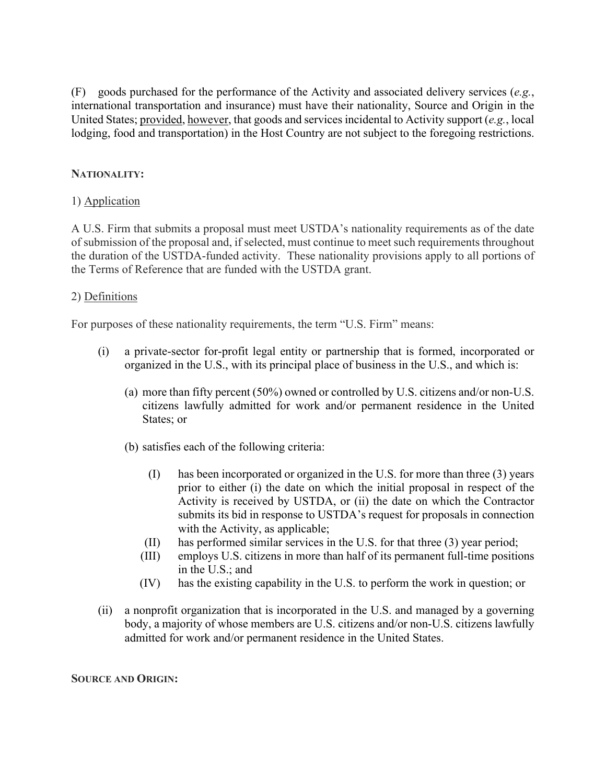(F) goods purchased for the performance of the Activity and associated delivery services (*e.g.*, international transportation and insurance) must have their nationality, Source and Origin in the United States; provided, however, that goods and services incidental to Activity support (*e.g.*, local lodging, food and transportation) in the Host Country are not subject to the foregoing restrictions.

## **NATIONALITY:**

## 1) Application

A U.S. Firm that submits a proposal must meet USTDA's nationality requirements as of the date of submission of the proposal and, if selected, must continue to meet such requirements throughout the duration of the USTDA-funded activity. These nationality provisions apply to all portions of the Terms of Reference that are funded with the USTDA grant.

### 2) Definitions

For purposes of these nationality requirements, the term "U.S. Firm" means:

- (i) a private-sector for-profit legal entity or partnership that is formed, incorporated or organized in the U.S., with its principal place of business in the U.S., and which is:
	- (a) more than fifty percent (50%) owned or controlled by U.S. citizens and/or non-U.S. citizens lawfully admitted for work and/or permanent residence in the United States; or
	- (b) satisfies each of the following criteria:
		- (I) has been incorporated or organized in the U.S. for more than three (3) years prior to either (i) the date on which the initial proposal in respect of the Activity is received by USTDA, or (ii) the date on which the Contractor submits its bid in response to USTDA's request for proposals in connection with the Activity, as applicable;
		- (II) has performed similar services in the U.S. for that three (3) year period;
		- (III) employs U.S. citizens in more than half of its permanent full-time positions in the U.S.; and
		- (IV) has the existing capability in the U.S. to perform the work in question; or
- (ii) a nonprofit organization that is incorporated in the U.S. and managed by a governing body, a majority of whose members are U.S. citizens and/or non-U.S. citizens lawfully admitted for work and/or permanent residence in the United States.

#### **SOURCE AND ORIGIN:**